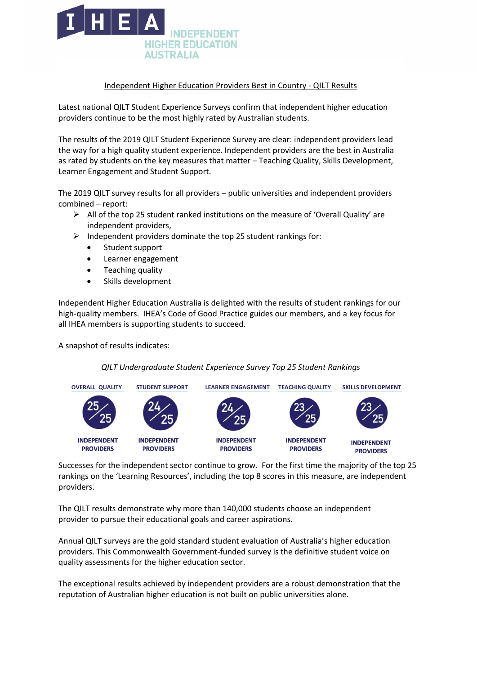

## Independent Higher Education Providers Best in Country - QILT Results

Latest national QILT Student Experience Surveys confirm that independent higher education providers continue to be the most highly rated by Australian students.

The results of the 2019 QILT Student Experience Survey are clear: independent providers lead the way for a high quality student experience. Independent providers are the best in Australia as rated by students on the key measures that matter – Teaching Quality, Skills Development, Learner Engagement and Student Support.

The 2019 QILT survey results for all providers – public universities and independent providers combined – report:

- $\triangleright$  All of the top 25 student ranked institutions on the measure of 'Overall Quality' are independent providers,
- $\triangleright$  Independent providers dominate the top 25 student rankings for:
	- Student support
	- Learner engagement
	- Teaching quality
	- Skills development

Independent Higher Education Australia is delighted with the results of student rankings for our high-quality members. IHEA's Code of Good Practice guides our members, and a key focus for all IHEA members is supporting students to succeed.

A snapshot of results indicates:

## *QILT Undergraduate Student Experience Survey Top 25 Student Rankings*



Successes for the independent sector continue to grow. For the first time the majority of the top 25 rankings on the 'Learning Resources', including the top 8 scores in this measure, are independent providers.

The QILT results demonstrate why more than 140,000 students choose an independent provider to pursue their educational goals and career aspirations.

Annual QILT surveys are the gold standard student evaluation of Australia's higher education providers. This Commonwealth Government-funded survey is the definitive student voice on quality assessments for the higher education sector.

The exceptional results achieved by independent providers are a robust demonstration that the reputation of Australian higher education is not built on public universities alone.